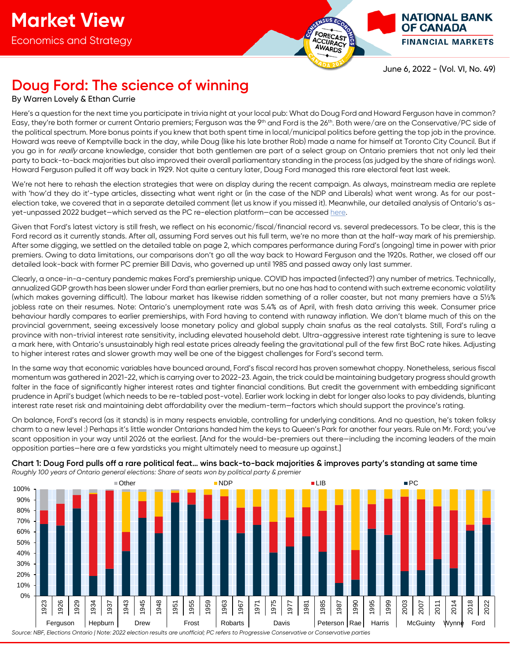

June 6, 2022 - (Vol. VI, No. 49)

**NATIONAL BANK OF CANADA** 

**FINANCIAL MARKETS** 

## **Doug Ford: The science of winning**

#### By Warren Lovely & Ethan Currie

Here's a question for the next time you participate in trivia night at your local pub: What do Doug Ford and Howard Ferguson have in common? Easy, they're both former or current Ontario premiers; Ferguson was the 9<sup>th</sup> and Ford is the 26<sup>th</sup>. Both were/are on the Conservative/PC side of the political spectrum. More bonus points if you knew that both spent time in local/municipal politics before getting the top job in the province. Howard was reeve of Kemptville back in the day, while Doug (like his late brother Rob) made a name for himself at Toronto City Council. But if you go in for really arcane knowledge, consider that both gentlemen are part of a select group on Ontario premiers that not only led their party to back-to-back majorities but also improved their overall parliamentary standing in the process (as judged by the share of ridings won). Howard Ferguson pulled it off way back in 1929. Not quite a century later, Doug Ford managed this rare electoral feat last week.

We're not here to rehash the election strategies that were on display during the recent campaign. As always, mainstream media are replete with 'how'd they do it'-type articles, dissecting what went right or (in the case of the NDP and Liberals) what went wrong. As for our postelection take, we covered that in a separate detailed comment (let us know if you missed it). Meanwhile, our detailed analysis of Ontario's asyet-unpassed 2022 budget—which served as the PC re-election platform—can be accessed [here.](https://www.nbc.ca/content/dam/bnc/en/rates-and-analysis/economic-analysis/ontario-budget.pdf)

Given that Ford's latest victory is still fresh, we reflect on his economic/fiscal/financial record vs. several predecessors. To be clear, this is the Ford record as it currently stands. After all, assuming Ford serves out his full term, we're no more than at the half-way mark of his premiership. After some digging, we settled on the detailed table on page 2, which compares performance during Ford's (ongoing) time in power with prior premiers. Owing to data limitations, our comparisons don't go all the way back to Howard Ferguson and the 1920s. Rather, we closed off our detailed look-back with former PC premier Bill Davis, who governed up until 1985 and passed away only last summer.

Clearly, a once-in-a-century pandemic makes Ford's premiership unique. COVID has impacted (infected?) any number of metrics. Technically, annualized GDP growth has been slower under Ford than earlier premiers, but no one has had to contend with such extreme economic volatility (which makes governing difficult). The labour market has likewise ridden something of a roller coaster, but not many premiers have a 5½% jobless rate on their resumes. Note: Ontario's unemployment rate was 5.4% as of April, with fresh data arriving this week. Consumer price behaviour hardly compares to earlier premierships, with Ford having to contend with runaway inflation. We don't blame much of this on the provincial government, seeing excessively loose monetary policy and global supply chain snafus as the real catalysts. Still, Ford's ruling a province with non-trivial interest rate sensitivity, including elevated household debt. Ultra-aggressive interest rate tightening is sure to leave a mark here, with Ontario's unsustainably high real estate prices already feeling the gravitational pull of the few first BoC rate hikes. Adjusting to higher interest rates and slower growth may well be one of the biggest challenges for Ford's second term.

In the same way that economic variables have bounced around, Ford's fiscal record has proven somewhat choppy. Nonetheless, serious fiscal momentum was gathered in 2021-22, which is carrying over to 2022-23. Again, the trick could be maintaining budgetary progress should growth falter in the face of significantly higher interest rates and tighter financial conditions. But credit the government with embedding significant prudence in April's budget (which needs to be re-tabled post-vote). Earlier work locking in debt for longer also looks to pay dividends, blunting interest rate reset risk and maintaining debt affordability over the medium-term—factors which should support the province's rating.

On balance, Ford's record (as it stands) is in many respects enviable, controlling for underlying conditions. And no question, he's taken folksy charm to a new level :) Perhaps it's little wonder Ontarians handed him the keys to Queen's Park for another four years. Rule on Mr. Ford; you've scant opposition in your way until 2026 at the earliest. [And for the would-be-premiers out there—including the incoming leaders of the main opposition parties—here are a few yardsticks you might ultimately need to measure up against.]



**Chart 1: Doug Ford pulls off a rare political feat… wins back-to-back majorities & improves party's standing at same time** *Roughly 100 years of Ontario general elections: Share of seats won by political party & premier*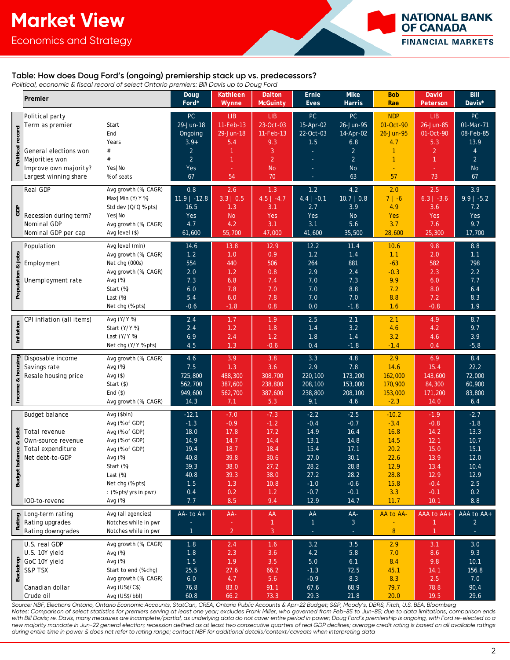Economics and Strategy



#### **Table: How does Doug Ford's (ongoing) premiership stack up vs. predecessors?**

*Political, economic & fiscal record of select Ontario premiers: Bill Davis up to Doug Ford*

|                                        |                                                                                                                                                 |                                 | Doug               | Kathleen           | <b>Dalton</b>      | Ernie                   | Mike                    | <b>Bob</b>         | <b>David</b>      | Bill             |
|----------------------------------------|-------------------------------------------------------------------------------------------------------------------------------------------------|---------------------------------|--------------------|--------------------|--------------------|-------------------------|-------------------------|--------------------|-------------------|------------------|
|                                        | Premier                                                                                                                                         |                                 | Ford*              | Wynne              | <b>McGuinty</b>    | <b>Eves</b>             | Harris                  | Rae                | Peterson          | Davis*           |
|                                        | Political party                                                                                                                                 |                                 | PC                 | <b>LIB</b>         | <b>LIB</b>         | PC                      | PC                      | <b>NDP</b>         | <b>LIB</b>        | PC               |
| record<br>Political                    | Term as premier                                                                                                                                 | Start                           | 29-Jun-18          | 11-Feb-13          | 23-Oct-03          | 15-Apr-02               | 26-Jun-95               | 01-Oct-90          | 26-Jun-85         | 01-Mar-71        |
|                                        |                                                                                                                                                 | End                             | Ongoing            | 29-Jun-18          | 11-Feb-13          | 22-Oct-03               | 14-Apr-02               | 26-Jun-95          | 01-Oct-90         | 08-Feb-85        |
|                                        |                                                                                                                                                 | Years                           | $3.9+$             | 5.4                | 9.3                | 1.5                     | 6.8                     | 4.7                | 5.3               | 13.9             |
|                                        | General elections won                                                                                                                           | $\#$                            | 2                  | $\mathbf{1}$       | 3                  |                         | $\overline{2}$          | $\mathbf{1}$       | $\overline{2}$    | $\overline{4}$   |
|                                        | Majorities won                                                                                                                                  | #                               | $\overline{2}$     | $\mathbf{1}$       | $\overline{2}$     |                         | $\overline{2}$          | $\mathbf{1}$       | $\overline{1}$    | $\overline{2}$   |
|                                        | Improve own majority?                                                                                                                           | Yes   No                        | Yes                |                    | <b>No</b>          |                         | <b>No</b>               |                    |                   | <b>No</b>        |
|                                        | Largest winning share                                                                                                                           | % of seats                      | 67                 | 54                 | 70                 |                         | 63                      | 57                 | 73                | 67               |
| <b>GDP</b>                             | <b>Real GDP</b>                                                                                                                                 | Avg growth (%, CAGR)            | 0.8                | 2.6                | 1.3                | 1.2                     | 4.2                     | 2.0                | 2.5               | 3.9              |
|                                        |                                                                                                                                                 | Max   Min (Y/Y %)               | $11.9$   -12.8     | 3.3   0.5          | $4.5$   -4.7       | $\overline{4.4}$   -0.1 | $\overline{10.7}$   0.8 | $7   -6$           | $6.3$   -3.6      | $9.9$   -5.2     |
|                                        |                                                                                                                                                 | Std dev (Q/Q %-pts)             | 16.5               | 1.3                | 3.1                | 2.7                     | 3.9                     | 4.9                | 3.6               | 7.2              |
|                                        | Recession during term?                                                                                                                          | Yes   No                        | Yes                | <b>No</b>          | Yes                | Yes                     | <b>No</b>               | Yes                | Yes               | Yes              |
|                                        | Nominal GDP                                                                                                                                     | Avg growth (%, CAGR)            | 4.7                | 4.2                | 3.1                | 3.1                     | 5.6                     | 3.7                | 7.6               | 9.7              |
|                                        | Nominal GDP per cap                                                                                                                             | Avg level (\$)                  | 61,600             | 55,700             | 47,000             | 41,600                  | 35,500                  | 28,600             | 25,300            | 17,700           |
| & jobs<br>Population                   | Population                                                                                                                                      | Avg level (mln)                 | 14.6               | 13.8               | 12.9               | 12.2                    | 11.4                    | 10.6               | 9.8               | $8.8\,$          |
|                                        |                                                                                                                                                 | Avg growth (%, CAGR)            | 1.2                | 1.0                | 0.9                | 1.2                     | 1.4                     | 1.1                | 2.0               | 1.1              |
|                                        | Employment                                                                                                                                      | Net chg (000s)                  | 554                | 440                | 506                | 264                     | 881                     | $-63$              | 582               | 798              |
|                                        |                                                                                                                                                 | Avg growth (%, CAGR)            | 2.0                | 1.2                | 0.8                | 2.9                     | 2.4                     | $-0.3$             | 2.3               | $2.2\,$          |
|                                        | Unemployment rate                                                                                                                               | Avg $(\%)$<br>Start (%)         | 7.3<br>6.0         | 6.8<br>7.8         | 7.4<br>7.0         | 7.0<br>7.0              | 7.3<br>8.8              | 9.9<br>7.2         | 6.0<br>8.0        | 7.7<br>6.4       |
|                                        |                                                                                                                                                 | Last $(\%)$                     | 5.4                | 6.0                | 7.8                | 7.0                     | 7.0                     | 8.8                | 7.2               | 8.3              |
|                                        |                                                                                                                                                 | Net chg (%-pts)                 | $-0.6$             | $-1.8$             | 0.8                | 0.0                     | $-1.8$                  | 1.6                | $-0.8$            | 1.9              |
|                                        |                                                                                                                                                 |                                 |                    |                    |                    |                         |                         |                    |                   |                  |
| Inflation                              | CPI inflation (all items)                                                                                                                       | Avg (Y/Y %)                     | 2.4                | 1.7                | 1.9                | 2.5                     | 2.1                     | 2.1                | 4.9               | 8.7              |
|                                        |                                                                                                                                                 | Start (Y/Y %)<br>Last $(Y/Y$ %) | 2.4<br>6.9         | 1.2<br>2.4         | 1.8<br>1.2         | 1.4<br>1.8              | 3.2<br>1.4              | 4.6<br>3.2         | 4.2<br>4.6        | 9.7              |
|                                        |                                                                                                                                                 | Net chg (Y/Y %-pts)             | 4.5                | 1.3                | $-0.6$             | 0.4                     | $-1.8$                  | $-1.4$             | 0.4               | 3.9<br>$-5.8$    |
|                                        |                                                                                                                                                 |                                 |                    |                    |                    |                         |                         |                    |                   |                  |
|                                        |                                                                                                                                                 | Avg growth (%, CAGR)            | 4.6                | 3.9                | 3.8                | 3.3                     | 4.8                     | 2.9                | 6.9               | 8.4              |
|                                        |                                                                                                                                                 | Avg $(\%)$                      | 7.5                | 1.3                | 3.6                | 2.9                     | 7.8                     | 14.6               | 15.4              | 22.2             |
|                                        | Resale housing price                                                                                                                            | Avg $($ \$)<br>Start (\$)       | 725,800<br>562,700 | 488,300<br>387,600 | 308,700<br>238,800 | 220,100<br>208,100      | 173,200<br>153,000      | 162,000<br>170,900 | 143,600<br>84,300 | 72,000<br>60,900 |
|                                        |                                                                                                                                                 | End $($)$                       | 949,600            | 562,700            | 387,600            | 238,800                 | 208,100                 | 153,000            | 171,200           | 83,800           |
|                                        | $\frac{12}{3}$ Disposable income<br>Savings rate<br>Resale housing price<br>$\frac{2}{3}$<br>$\frac{12}{3}$<br>$\frac{12}{3}$<br>$\frac{12}{3}$ | Avg growth (%, CAGR)            | 14.3               | 7.1                | 5.3                | 9.1                     | 4.6                     | $-2.3$             | 14.0              | 6.4              |
|                                        |                                                                                                                                                 |                                 |                    |                    |                    |                         |                         |                    |                   |                  |
| debt<br>ಳ<br>lance<br><b>Budget</b> ba | <b>Budget balance</b>                                                                                                                           | Avg (\$bln)<br>Avg (% of GDP)   | $-12.1$<br>$-1.3$  | $-7.0$<br>$-0.9$   | $-7.3$<br>$-1.2$   | $-2.2$<br>$-0.4$        | $-2.5$<br>$-0.7$        | $-10.2$<br>$-3.4$  | $-1.9$<br>$-0.8$  | $-2.7$<br>$-1.8$ |
|                                        | Total revenue                                                                                                                                   | Avg (% of GDP)                  | 18.0               | 17.8               | 17.2               | 14.9                    | 16.4                    | 16.8               | 14.2              | 13.3             |
|                                        | Own-source revenue                                                                                                                              | Avg (% of GDP)                  | 14.9               | 14.7               | 14.4               | 13.1                    | 14.8                    | 14.5               | 12.1              | 10.7             |
|                                        | Total expenditure                                                                                                                               | Avg (% of GDP)                  | 19.4               | 18.7               | 18.4               | 15.4                    | 17.1                    | 20.2               | 15.0              | 15.1             |
|                                        | Net debt-to-GDP                                                                                                                                 | Avg (%)                         | 40.8               | 39.8               | 30.6               | 27.0                    | 30.1                    | 22.6               | 13.9              | 12.0             |
|                                        |                                                                                                                                                 | Start (%)                       | 39.3               | 38.0               | 27.2               | 28.2                    | 28.8                    | 12.9               | 13.4              | 10.4             |
|                                        |                                                                                                                                                 | Last $(\%)$                     | 40.8               | 39.3               | 38.0               | 27.2                    | 28.2                    | 28.8               | 12.9              | 12.9             |
|                                        |                                                                                                                                                 | Net chg (%-pts)                 | 1.5                | 1.3                | 10.8               | $-1.0$                  | $-0.6$                  | 15.8               | $-0.4$            | 2.5              |
|                                        |                                                                                                                                                 | : (%-pts/yrs in pwr)            | 0.4                | 0.2                | 1.2                | $-0.7$                  | $-0.1$                  | 3.3                | $-0.1$            | 0.2              |
|                                        | IOD-to-revene                                                                                                                                   | Avg (%)                         | 7.7                | $8.5\,$            | 9.4                | 12.9                    | 14.7                    | 11.7               | 10.1              | $8.8\,$          |
| Rating                                 | Long-term rating                                                                                                                                | Avg (all agencies)              | AA- to $A+$        | AA-                | AA                 | ${\sf AA}$              | AA-                     | AA to AA-          | AAA to AA+        | AAA to AA+       |
|                                        | Rating upgrades                                                                                                                                 | Notches while in pwr            |                    |                    | $\mathbf{1}$       | $\mathbf{1}$            | 3 <sup>1</sup>          |                    | 1                 | $\overline{2}$   |
|                                        | Rating downgrades                                                                                                                               | Notches while in pwr            | $\mathbf{1}$       | $\overline{2}$     | $\overline{3}$     |                         | Ξ                       | $\bf 8$            | $\mathbf{1}$      |                  |
| Backdrop                               | U.S. real GDP                                                                                                                                   | Avg growth (%, CAGR)            | 1.8                | 2.4                | 1.6                | 3.2                     | 3.5                     | 2.9                | 3.1               | 3.0              |
|                                        | U.S. 10Y yield                                                                                                                                  | Avg $(\%)$                      | $1.8$              | 2.3                | 3.6                | 4.2                     | $5.8\,$                 | 7.0                | 8.6               | 9.3              |
|                                        | GoC 10Y yield                                                                                                                                   | Avg (%)                         | $1.5$              | 1.9                | 3.5                | 5.0                     | 6.1                     | 8.4                | 9.8               | 10.1             |
|                                        | <b>S&amp;P TSX</b>                                                                                                                              | Start to end (% chg)            | 25.5               | 27.6               | 66.2               | $-1.3$                  | 72.5                    | 45.1               | 14.1              | 156.8            |
|                                        |                                                                                                                                                 | Avg growth (%, CAGR)            | $6.0$              | 4.7                | 5.6                | $-0.9$                  | 8.3                     | 8.3                | 2.5               | 7.0              |
|                                        | Canadian dollar<br>Crude oil                                                                                                                    | Avg (US¢/C\$)<br>Avg (US\$/bbl) | 76.8               | 83.0               | 91.1               | 67.6<br>29.3            | 68.9                    | 79.7               | 78.8              | 90.4<br>29.6     |
|                                        |                                                                                                                                                 |                                 | 60.8               | 66.2               | 73.3               |                         | 21.8                    | 20.0               | 19.5              |                  |

*Source: NBF, Elections Ontario, Ontario Economic Accounts, StatCan, CREA, Ontario Public Accounts & Apr-22 Budget; S&P, Moody's, DBRS, Fitch, U.S. BEA, Bloomberg Notes: Comparison of select statistics for premiers serving at least one year; excludes Frank Miller, who governed from Feb-85 to Jun-85; due to data limitations, comparison ends* with Bill Davis; re. Davis, many measures are incomplete/partial, as underlying data do not cover entire period in power; Doug Ford's premiership is ongoing, with Ford re-elected to a *new majority mandate in Jun-22 general election; recession defined as at least two consecutive quarters of real GDP declines; average credit rating is based on all available ratings during entire time in power & does not refer to rating range; contact NBF for additional details/context/caveats when interpreting data*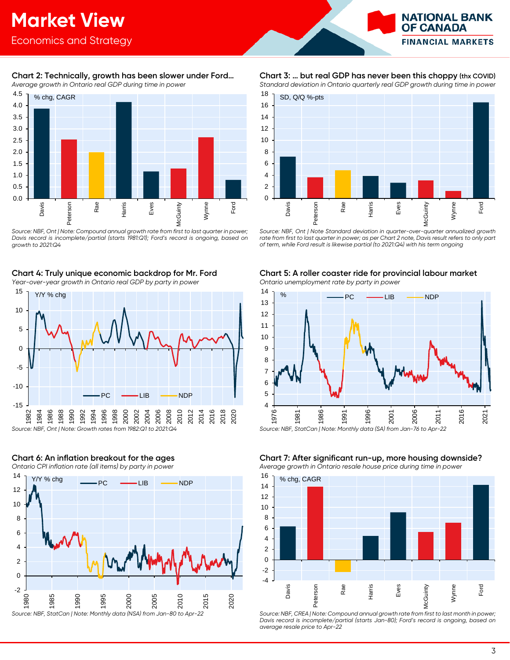

#### **Chart 2: Technically, growth has been slower under Ford…** *Average growth in Ontario real GDP during time in power*



*Source: NBF, Ont | Note: Compound annual growth rate from first to last quarter in power; Davis record is incomplete/partial (starts 1981:Q1); Ford's record is ongoing, based on growth to 2021:Q4*

### **Chart 4: Truly unique economic backdrop for Mr. Ford**

*Year-over-year growth in Ontario real GDP by party in power*



### 2 4 6 8 10 12 14  $Y/Y$  % chg  $\longrightarrow$  PC  $\longrightarrow$  LIB  $\longrightarrow$  NDP

**Chart 6: An inflation breakout for the ages** *Ontario CPI inflation rate (all items) by party in power*



Source: NBF, StatCan | Note: Monthly data (NSA) from Jan-80 to Apr

### **Chart 3: … but real GDP has never been this choppy (thx COVID)**

*Standard deviation in Ontario quarterly real GDP growth during time in power*



*Source: NBF, Ont | Note Standard deviation in quarter-over-quarter annualized growth rate from first to last quarter in power; as per Chart 2 note, Davis result refers to only part of term, while Ford result is likewise partial (to 2021:Q4) with his term ongoing*

#### **Chart 5: A roller coaster ride for provincial labour market**

*Ontario unemployment rate by party in power*



*Source: NBF, StatCan | Note: Monthly data (SA) from Jan-76 to Apr-22*

#### **Chart 7: After significant run-up, more housing downside?** *Average growth in Ontario resale house price during time in power*



*Source: NBF, CREA | Note: Compound annual growth rate from first to last month in power; Davis record is incomplete/partial (starts Jan-80); Ford's record is ongoing, based on average resale price to Apr-22*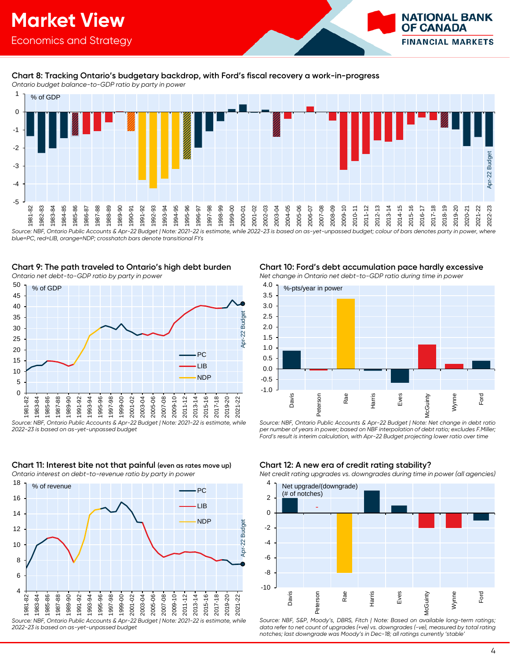

#### **Chart 8: Tracking Ontario's budgetary backdrop, with Ford's fiscal recovery a work-in-progress**

*Ontario budget balance-to-GDP ratio by party in power*



*blue=PC, red=LIB, orange=NDP; crosshatch bars denote transitional FYs*

#### **Chart 9: The path traveled to Ontario's high debt burden**

*Ontario net debt-to-GDP ratio by party in power*



*Source: NBF, Ontario Public Accounts & Apr-22 Budget | Note: 2021-22 is estimate, while 2022-23 is based on as-yet-unpassed budget* 



#### **Chart 11: Interest bite not that painful (even as rates move up)** *Ontario interest on debt-to-revenue ratio by party in power*

**Chart 10: Ford's debt accumulation pace hardly excessive** *Net change in Ontario net debt-to-GDP ratio during time in power*



*Source: NBF, Ontario Public Accounts & Apr-22 Budget | Note: Net change in debt ratio per number of years in power; based on NBF interpolation of debt ratio; excludes F.Miller; Ford's result is interim calculation, with Apr-22 Budget projecting lower ratio over time*

#### **Chart 12: A new era of credit rating stability?**

*Net credit rating upgrades vs. downgrades during time in power (all agencies)*



*Source: NBF, S&P, Moody's, DBRS, Fitch | Note: Based on available long-term ratings;*  data refer to net count of upgrades (+ve) vs. downgrades (-ve), measured by total rating *notches; last downgrade was Moody's in Dec-18; all ratings currently 'stable'*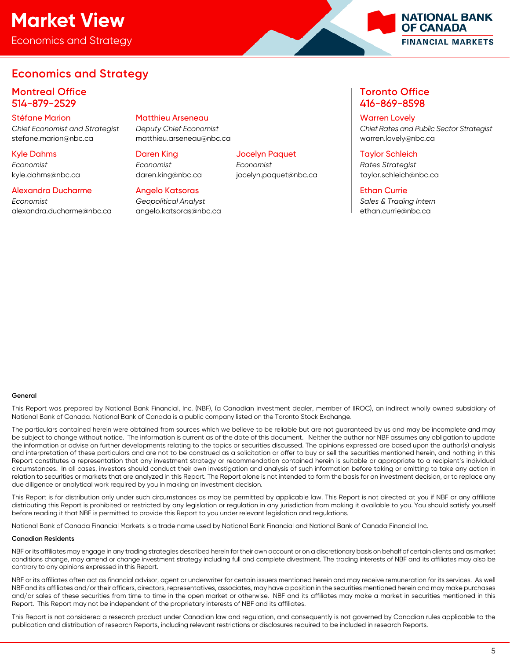# **Market View**

Economics and Strategy

### **Economics and Strategy**

### **Montreal Office Toronto Office** 514-879-2529 416-869-8598

#### Stéfane Marion Matthieu Arseneau Warren Lovely

stefane.marion@nbc.ca matthieu.arseneau@nbc.ca warren.lovely@nbc.ca

# *Economist Economist Economist Rates Strategist*

#### Alexandra Ducharme Angelo Katsoras Ethan Currie

*Economist Geopolitical Analyst Sales & Trading Intern* [alexandra.ducharme@nbc.ca](mailto:alexandra.ducharme@nbc.ca) [angelo.katsoras@nbc.ca](mailto:angelo.katsoras@nbc.ca) ethan.currie@nbc.ca

#### Kyle Dahms Daren King Jocelyn Paquet Taylor Schleich

kyle.dahms@nbc.ca daren.king@nbc.ca jocelyn.paquet@nbc.ca taylor.schleich@nbc.ca

*Chief Economist and Strategist Deputy Chief Economist Chief Rates and Public Sector Strategist*

#### **General**

This Report was prepared by National Bank Financial, Inc. (NBF), (a Canadian investment dealer, member of IIROC), an indirect wholly owned subsidiary of National Bank of Canada. National Bank of Canada is a public company listed on the Toronto Stock Exchange.

The particulars contained herein were obtained from sources which we believe to be reliable but are not guaranteed by us and may be incomplete and may be subject to change without notice. The information is current as of the date of this document. Neither the author nor NBF assumes any obligation to update the information or advise on further developments relating to the topics or securities discussed. The opinions expressed are based upon the author(s) analysis and interpretation of these particulars and are not to be construed as a solicitation or offer to buy or sell the securities mentioned herein, and nothing in this Report constitutes a representation that any investment strategy or recommendation contained herein is suitable or appropriate to a recipient's individual circumstances. In all cases, investors should conduct their own investigation and analysis of such information before taking or omitting to take any action in relation to securities or markets that are analyzed in this Report. The Report alone is not intended to form the basis for an investment decision, or to replace any due diligence or analytical work required by you in making an investment decision.

This Report is for distribution only under such circumstances as may be permitted by applicable law. This Report is not directed at you if NBF or any affiliate distributing this Report is prohibited or restricted by any legislation or regulation in any jurisdiction from making it available to you. You should satisfy yourself before reading it that NBF is permitted to provide this Report to you under relevant legislation and regulations.

National Bank of Canada Financial Markets is a trade name used by National Bank Financial and National Bank of Canada Financial Inc.

#### **Canadian Residents**

NBF or its affiliates may engage in any trading strategies described herein for their own account or on a discretionary basis on behalf of certain clients and as market conditions change, may amend or change investment strategy including full and complete divestment. The trading interests of NBF and its affiliates may also be contrary to any opinions expressed in this Report.

NBF or its affiliates often act as financial advisor, agent or underwriter for certain issuers mentioned herein and may receive remuneration for its services. As well NBF and its affiliates and/or their officers, directors, representatives, associates, may have a position in the securities mentioned herein and may make purchases and/or sales of these securities from time to time in the open market or otherwise. NBF and its affiliates may make a market in securities mentioned in this Report. This Report may not be independent of the proprietary interests of NBF and its affiliates.

This Report is not considered a research product under Canadian law and regulation, and consequently is not governed by Canadian rules applicable to the publication and distribution of research Reports, including relevant restrictions or disclosures required to be included in research Reports.